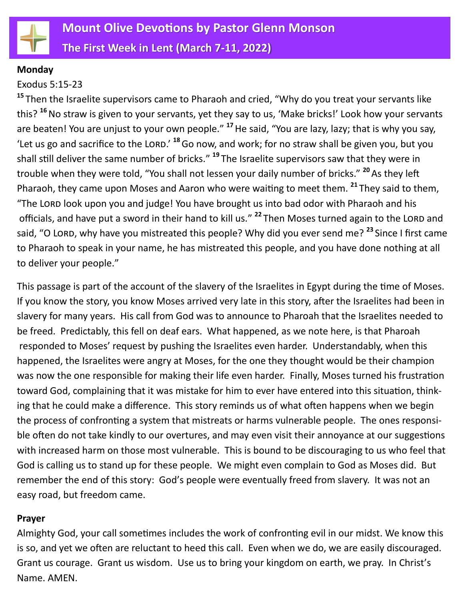

#### **Monday**

#### Exodus 5:15-23

<sup>15</sup> Then the Israelite supervisors came to Pharaoh and cried, "Why do you treat your servants like this? **<sup>16</sup>**No straw is given to your servants, yet they say to us, 'Make bricks!' Look how your servants are beaten! You are unjust to your own people." **<sup>17</sup>**He said, "You are lazy, lazy; that is why you say, 'Let us go and sacrifice to the LORD.' <sup>18</sup> Go now, and work; for no straw shall be given you, but you shall still deliver the same number of bricks." **<sup>19</sup>** The Israelite supervisors saw that they were in trouble when they were told, "You shall not lessen your daily number of bricks." **<sup>20</sup>**As they left Pharaoh, they came upon Moses and Aaron who were waiting to meet them. **<sup>21</sup>** They said to them, "The LORD look upon you and judge! You have brought us into bad odor with Pharaoh and his officials, and have put a sword in their hand to kill us."<sup>22</sup> Then Moses turned again to the LORD and said, "O LORD, why have you mistreated this people? Why did you ever send me?<sup>23</sup> Since I first came to Pharaoh to speak in your name, he has mistreated this people, and you have done nothing at all to deliver your people."

This passage is part of the account of the slavery of the Israelites in Egypt during the time of Moses. If you know the story, you know Moses arrived very late in this story, after the Israelites had been in slavery for many years. His call from God was to announce to Pharoah that the Israelites needed to be freed. Predictably, this fell on deaf ears. What happened, as we note here, is that Pharoah responded to Moses' request by pushing the Israelites even harder. Understandably, when this happened, the Israelites were angry at Moses, for the one they thought would be their champion was now the one responsible for making their life even harder. Finally, Moses turned his frustration toward God, complaining that it was mistake for him to ever have entered into this situation, thinking that he could make a difference. This story reminds us of what often happens when we begin the process of confronting a system that mistreats or harms vulnerable people. The ones responsible often do not take kindly to our overtures, and may even visit their annoyance at our suggestions with increased harm on those most vulnerable. This is bound to be discouraging to us who feel that God is calling us to stand up for these people. We might even complain to God as Moses did. But remember the end of this story: God's people were eventually freed from slavery. It was not an easy road, but freedom came.

#### **Prayer**

Almighty God, your call sometimes includes the work of confronting evil in our midst. We know this is so, and yet we often are reluctant to heed this call. Even when we do, we are easily discouraged. Grant us courage. Grant us wisdom. Use us to bring your kingdom on earth, we pray. In Christ's Name. AMEN.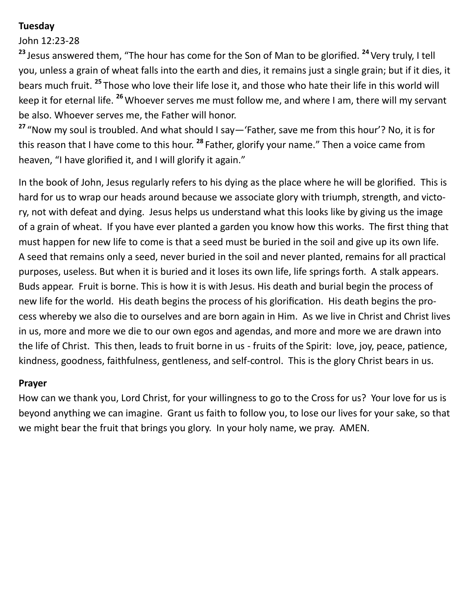# **Tuesday**

## John 12:23-28

<sup>23</sup> Jesus answered them, "The hour has come for the Son of Man to be glorified. <sup>24</sup> Very truly, I tell you, unless a grain of wheat falls into the earth and dies, it remains just a single grain; but if it dies, it bears much fruit. **<sup>25</sup>** Those who love their life lose it, and those who hate their life in this world will keep it for eternal life. **<sup>26</sup>**Whoever serves me must follow me, and where I am, there will my servant be also. Whoever serves me, the Father will honor.

**<sup>27</sup>** "Now my soul is troubled. And what should I say—'Father, save me from this hour'? No, it is for this reason that I have come to this hour. **<sup>28</sup>** Father, glorify your name." Then a voice came from heaven, "I have glorified it, and I will glorify it again."

In the book of John, Jesus regularly refers to his dying as the place where he will be glorified. This is hard for us to wrap our heads around because we associate glory with triumph, strength, and victory, not with defeat and dying. Jesus helps us understand what this looks like by giving us the image of a grain of wheat. If you have ever planted a garden you know how this works. The first thing that must happen for new life to come is that a seed must be buried in the soil and give up its own life. A seed that remains only a seed, never buried in the soil and never planted, remains for all practical purposes, useless. But when it is buried and it loses its own life, life springs forth. A stalk appears. Buds appear. Fruit is borne. This is how it is with Jesus. His death and burial begin the process of new life for the world. His death begins the process of his glorification. His death begins the process whereby we also die to ourselves and are born again in Him. As we live in Christ and Christ lives in us, more and more we die to our own egos and agendas, and more and more we are drawn into the life of Christ. This then, leads to fruit borne in us - fruits of the Spirit: love, joy, peace, patience, kindness, goodness, faithfulness, gentleness, and self-control. This is the glory Christ bears in us.

### **Prayer**

How can we thank you, Lord Christ, for your willingness to go to the Cross for us? Your love for us is beyond anything we can imagine. Grant us faith to follow you, to lose our lives for your sake, so that we might bear the fruit that brings you glory. In your holy name, we pray. AMEN.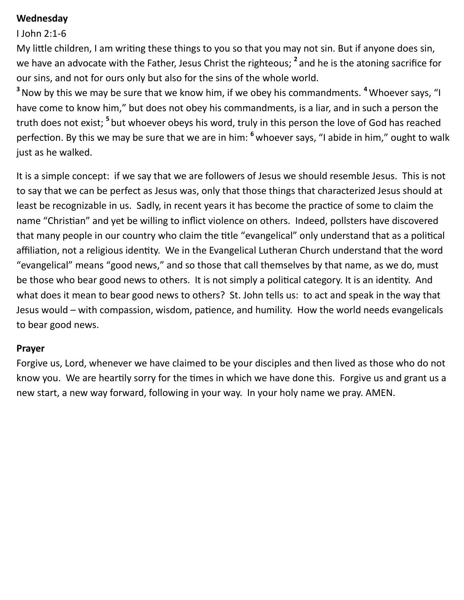### **Wednesday**

#### I John 2:1-6

My little children, I am writing these things to you so that you may not sin. But if anyone does sin, we have an advocate with the Father, Jesus Christ the righteous; **<sup>2</sup>** and he is the atoning sacrifice for our sins, and not for ours only but also for the sins of the whole world.

**<sup>3</sup>**Now by this we may be sure that we know him, if we obey his commandments. **<sup>4</sup>**Whoever says, "I have come to know him," but does not obey his commandments, is a liar, and in such a person the truth does not exist; <sup>5</sup> but whoever obeys his word, truly in this person the love of God has reached perfection. By this we may be sure that we are in him: **<sup>6</sup>** whoever says, "I abide in him," ought to walk just as he walked.

It is a simple concept: if we say that we are followers of Jesus we should resemble Jesus. This is not to say that we can be perfect as Jesus was, only that those things that characterized Jesus should at least be recognizable in us. Sadly, in recent years it has become the practice of some to claim the name "Christian" and yet be willing to inflict violence on others. Indeed, pollsters have discovered that many people in our country who claim the title "evangelical" only understand that as a political affiliation, not a religious identity. We in the Evangelical Lutheran Church understand that the word "evangelical" means "good news," and so those that call themselves by that name, as we do, must be those who bear good news to others. It is not simply a political category. It is an identity. And what does it mean to bear good news to others? St. John tells us: to act and speak in the way that Jesus would – with compassion, wisdom, patience, and humility. How the world needs evangelicals to bear good news.

#### **Prayer**

Forgive us, Lord, whenever we have claimed to be your disciples and then lived as those who do not know you. We are heartily sorry for the times in which we have done this. Forgive us and grant us a new start, a new way forward, following in your way. In your holy name we pray. AMEN.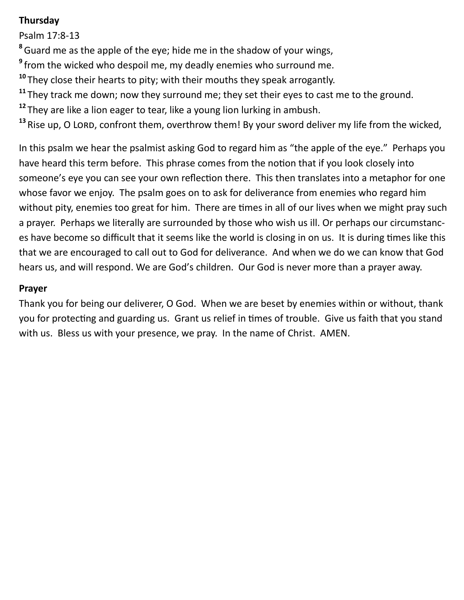# **Thursday**

Psalm 17:8-13

**<sup>8</sup>**Guard me as the apple of the eye; hide me in the shadow of your wings,

**9** from the wicked who despoil me, my deadly enemies who surround me.

**<sup>10</sup>** They close their hearts to pity; with their mouths they speak arrogantly.

**<sup>11</sup>** They track me down; now they surround me; they set their eyes to cast me to the ground.

**<sup>12</sup>** They are like a lion eager to tear, like a young lion lurking in ambush.

<sup>13</sup> Rise up, O LORD, confront them, overthrow them! By your sword deliver my life from the wicked,

In this psalm we hear the psalmist asking God to regard him as "the apple of the eye." Perhaps you have heard this term before. This phrase comes from the notion that if you look closely into someone's eye you can see your own reflection there. This then translates into a metaphor for one whose favor we enjoy. The psalm goes on to ask for deliverance from enemies who regard him without pity, enemies too great for him. There are times in all of our lives when we might pray such a prayer. Perhaps we literally are surrounded by those who wish us ill. Or perhaps our circumstances have become so difficult that it seems like the world is closing in on us. It is during times like this that we are encouraged to call out to God for deliverance. And when we do we can know that God hears us, and will respond. We are God's children. Our God is never more than a prayer away.

# **Prayer**

Thank you for being our deliverer, O God. When we are beset by enemies within or without, thank you for protecting and guarding us. Grant us relief in times of trouble. Give us faith that you stand with us. Bless us with your presence, we pray. In the name of Christ. AMEN.